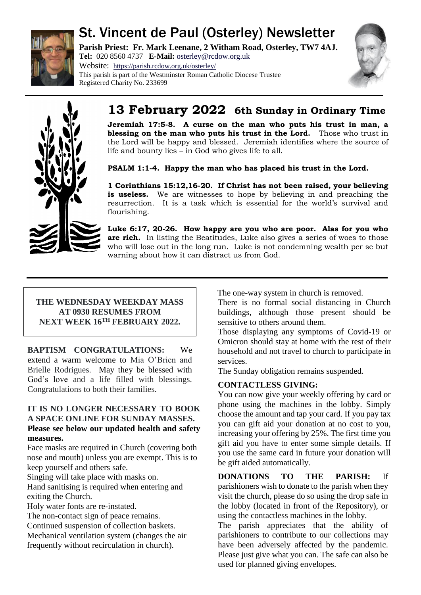

# St. Vincent de Paul (Osterley) Newsletter

**Parish Priest: Fr. Mark Leenane, 2 Witham Road, Osterley, TW7 4AJ. Tel:** 020 8560 4737 **E-Mail:** [osterley@rcdow.org.uk](mailto:osterley@rcdow.org.uk)

Website: <https://parish.rcdow.org.uk/osterley/> This parish is part of the Westminster Roman Catholic Diocese Trustee Registered Charity No. 233699





# **13 February 2022 6th Sunday in Ordinary Time**

**Jeremiah 17:5-8. A curse on the man who puts his trust in man, a blessing on the man who puts his trust in the Lord.** Those who trust in the Lord will be happy and blessed. Jeremiah identifies where the source of life and bounty lies – in God who gives life to all.

**PSALM 1:1-4. Happy the man who has placed his trust in the Lord.**

**1 Corinthians 15:12,16-20. If Christ has not been raised, your believing is useless.** We are witnesses to hope by believing in and preaching the resurrection. It is a task which is essential for the world's survival and flourishing.

**Luke 6:17, 20-26. How happy are you who are poor. Alas for you who are rich.** In listing the Beatitudes, Luke also gives a series of woes to those who will lose out in the long run. Luke is not condemning wealth per se but warning about how it can distract us from God.

## **THE WEDNESDAY WEEKDAY MASS AT 0930 RESUMES FROM NEXT WEEK 16TH FEBRUARY 2022.**

**BAPTISM CONGRATULATIONS:** We extend a warm welcome to Mia O'Brien and Brielle Rodrigues.May they be blessed with God's love and a life filled with blessings. Congratulations to both their families.

## **IT IS NO LONGER NECESSARY TO BOOK A SPACE ONLINE FOR SUNDAY MASSES. Please see below our updated health and safety measures.**

Face masks are required in Church (covering both nose and mouth) unless you are exempt. This is to keep yourself and others safe.

Singing will take place with masks on.

Hand sanitising is required when entering and exiting the Church.

Holy water fonts are re-instated.

The non-contact sign of peace remains. Continued suspension of collection baskets. Mechanical ventilation system (changes the air

frequently without recirculation in church).

The one-way system in church is removed.

There is no formal social distancing in Church buildings, although those present should be sensitive to others around them.

Those displaying any symptoms of Covid-19 or Omicron should stay at home with the rest of their household and not travel to church to participate in services.

The Sunday obligation remains suspended.

# **CONTACTLESS GIVING:**

You can now give your weekly offering by card or phone using the machines in the lobby. Simply choose the amount and tap your card. If you pay tax you can gift aid your donation at no cost to you, increasing your offering by 25%. The first time you gift aid you have to enter some simple details. If you use the same card in future your donation will be gift aided automatically.

**DONATIONS TO THE PARISH:** If parishioners wish to donate to the parish when they visit the church, please do so using the drop safe in the lobby (located in front of the Repository), or using the contactless machines in the lobby.

The parish appreciates that the ability of parishioners to contribute to our collections may have been adversely affected by the pandemic. Please just give what you can. The safe can also be used for planned giving envelopes.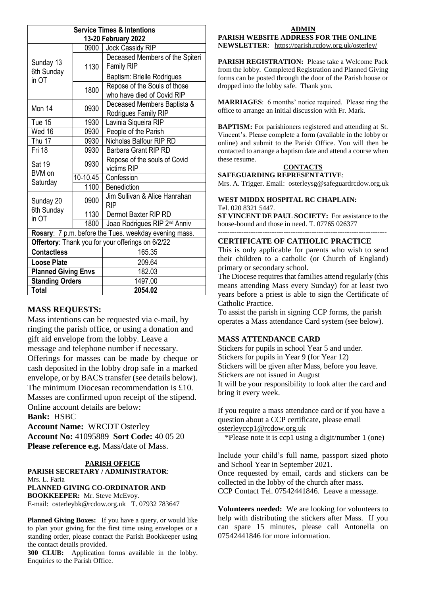| <b>Service Times &amp; Intentions</b>                 |          |                                                            |
|-------------------------------------------------------|----------|------------------------------------------------------------|
| 13-20 February 2022                                   |          |                                                            |
| Sunday 13<br>6th Sunday<br>in OT                      | 0900     | Jock Cassidy RIP                                           |
|                                                       | 1130     | Deceased Members of the Spiteri<br><b>Family RIP</b>       |
|                                                       |          | Baptism: Brielle Rodrigues                                 |
|                                                       | 1800     | Repose of the Souls of those<br>who have died of Covid RIP |
| Mon 14                                                | 0930     | Deceased Members Baptista &<br>Rodrigues Family RIP        |
| Tue 15                                                | 1930     | Lavinia Siqueira RIP                                       |
| Wed 16                                                | 0930     | People of the Parish                                       |
| Thu 17                                                | 0930     | Nicholas Balfour RIP RD                                    |
| <b>Fri 18</b>                                         | 0930     | Barbara Grant RIP RD                                       |
| Sat 19<br>BVM on<br>Saturday                          | 0930     | Repose of the souls of Covid<br>victims RIP                |
|                                                       | 10-10.45 | Confession                                                 |
|                                                       | 1100     | <b>Benediction</b>                                         |
| Sunday 20<br>6th Sunday<br>in OT                      | 0900     | Jim Sullivan & Alice Hanrahan<br><b>RIP</b>                |
|                                                       | 1130     | Dermot Baxter RIP RD                                       |
|                                                       | 1800     | Joao Rodrigues RIP 2 <sup>nd</sup> Anniv                   |
| Rosary: 7 p.m. before the Tues. weekday evening mass. |          |                                                            |
| Offertory: Thank you for your offerings on 6/2/22     |          |                                                            |
| <b>Contactless</b>                                    |          | 165.35                                                     |
| <b>Loose Plate</b>                                    |          | 209.64                                                     |
| <b>Planned Giving Envs</b>                            |          | 182.03                                                     |
| <b>Standing Orders</b>                                |          | 1497.00                                                    |
| <b>Total</b>                                          |          | 2054.02                                                    |

## **MASS REQUESTS:**

Mass intentions can be requested via e-mail, by ringing the parish office, or using a donation and gift aid envelope from the lobby. Leave a message and telephone number if necessary. Offerings for masses can be made by cheque or cash deposited in the lobby drop safe in a marked envelope, or by BACS transfer (see details below). The minimum Diocesan recommendation is £10. Masses are confirmed upon receipt of the stipend. Online account details are below: **Bank:** HSBC

**Account Name:** WRCDT Osterley **Account No:** 41095889 **Sort Code:** 40 05 20 **Please reference e.g.** Mass/date of Mass.

### **PARISH OFFICE PARISH SECRETARY / ADMINISTRATOR**:

Mrs. L. Faria

#### **PLANNED GIVING CO-ORDINATOR AND**

**BOOKKEEPER:** Mr. Steve McEvoy. E-mail: [osterleybk@rcdow.org.uk](mailto:osterleybk@rcdow.org.uk) T. 07932 783647

**Planned Giving Boxes:** If you have a query, or would like to plan your giving for the first time using envelopes or a standing order, please contact the Parish Bookkeeper using the contact details provided.

**300 CLUB:** Application forms available in the lobby. Enquiries to the Parish Office.

#### **ADMIN PARISH WEBSITE ADDRESS FOR THE ONLINE NEWSLETTER**: <https://parish.rcdow.org.uk/osterley/>

**PARISH REGISTRATION:** Please take a Welcome Pack from the lobby. Completed Registration and Planned Giving forms can be posted through the door of the Parish house or dropped into the lobby safe. Thank you.

**MARRIAGES**: 6 months' notice required. Please ring the office to arrange an initial discussion with Fr. Mark.

**BAPTISM:** For parishioners registered and attending at St. Vincent's. Please complete a form (available in the lobby or online) and submit to the Parish Office. You will then be contacted to arrange a baptism date and attend a course when these resume.

# **CONTACTS**

**SAFEGUARDING REPRESENTATIVE**: Mrs. A. Trigger. Email: osterleysg@safeguardrcdow.org.uk

### **WEST MIDDX HOSPITAL RC CHAPLAIN:**  Tel. 020 8321 5447.

**ST VINCENT DE PAUL SOCIETY:** For assistance to the house-bound and those in need. T. 07765 026377

#### ------------------------------------------------------------------------ **CERTIFICATE OF CATHOLIC PRACTICE**

This is only applicable for parents who wish to send their children to a catholic (or Church of England) primary or secondary school.

The Diocese requires that families attend regularly (this means attending Mass every Sunday) for at least two years before a priest is able to sign the Certificate of Catholic Practice.

To assist the parish in signing CCP forms, the parish operates a Mass attendance Card system (see below).

## **MASS ATTENDANCE CARD**

Stickers for pupils in school Year 5 and under. Stickers for pupils in Year 9 (for Year 12) Stickers will be given after Mass, before you leave. Stickers are not issued in August It will be your responsibility to look after the card and bring it every week.

If you require a mass attendance card or if you have a question about a CCP certificate, please email [osterleyccp1@rcdow.org.uk](mailto:osterleyccp1@rcdow.org.uk)

\*Please note it is ccp1 using a digit/number 1 (one)

Include your child's full name, passport sized photo and School Year in September 2021.

Once requested by email, cards and stickers can be collected in the lobby of the church after mass.

CCP Contact Tel. 07542441846. Leave a message.

**Volunteers needed:** We are looking for volunteers to help with distributing the stickers after Mass. If you can spare 15 minutes, please call Antonella on 07542441846 for more information.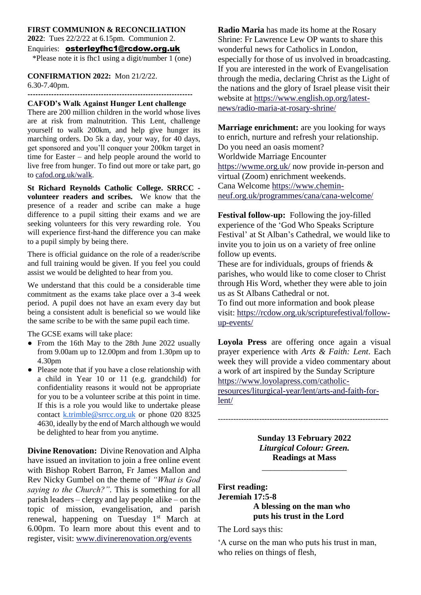## **FIRST COMMUNION & RECONCILIATION 2022**: Tues 22/2/22 at 6.15pm. Communion 2.

#### Enquiries: [osterleyfhc1@rcdow.org.uk](mailto:osterleyfhc1@rcdow.org.uk)

\*Please note it is fhc1 using a digit/number 1 (one)

#### **CONFIRMATION 2022:** Mon 21/2/22.

6.30-7.40pm.

#### **---------------------------------------------------------------**

#### **CAFOD's Walk Against Hunger Lent challenge**

There are 200 million children in the world whose lives are at risk from malnutrition. This Lent, challenge yourself to walk 200km, and help give hunger its marching orders. Do 5k a day, your way, for 40 days, get sponsored and you'll conquer your 200km target in time for Easter – and help people around the world to live free from hunger. To find out more or take part, go to [cafod.org.uk/walk.](https://walk.cafod.org.uk/)

**St Richard Reynolds Catholic College. SRRCC volunteer readers and scribes.** We know that the presence of a reader and scribe can make a huge difference to a pupil sitting their exams and we are seeking volunteers for this very rewarding role. You will experience first-hand the difference you can make to a pupil simply by being there.

There is official guidance on the role of a reader/scribe and full training would be given. If you feel you could assist we would be delighted to hear from you.

We understand that this could be a considerable time commitment as the exams take place over a 3-4 week period. A pupil does not have an exam every day but being a consistent adult is beneficial so we would like the same scribe to be with the same pupil each time.

The GCSE exams will take place:

- From the 16th May to the 28th June 2022 usually from 9.00am up to 12.00pm and from 1.30pm up to 4.30pm
- Please note that if you have a close relationship with a child in Year 10 or 11 (e.g. grandchild) for confidentiality reasons it would not be appropriate for you to be a volunteer scribe at this point in time. If this is a role you would like to undertake please contact [k.trimble@srrcc.org.uk](mailto:k.trimble@srrcc.org.uk) or phone 020 8325 4630, ideally by the end of March although we would be delighted to hear from you anytime.

**Divine Renovation:** Divine Renovation and Alpha have issued an invitation to join a free online event with Bishop Robert Barron, Fr James Mallon and Rev Nicky Gumbel on the theme of *"What is God saying to the Church?"*. This is something for all parish leaders – clergy and lay people alike – on the topic of mission, evangelisation, and parish renewal, happening on Tuesday 1<sup>st</sup> March at 6.00pm. To learn more about this event and to register, visit: [www.divinerenovation.org/events](http://www.divinerenovation.org/events)

**Radio Maria** has made its home at the Rosary Shrine: Fr Lawrence Lew OP wants to share this wonderful news for Catholics in London, especially for those of us involved in broadcasting. If you are interested in the work of Evangelisation through the media, declaring Christ as the Light of the nations and the glory of Israel please visit their website at [https://www.english.op.org/latest](https://www.english.op.org/latest-news/radio-maria-at-rosary-shrine/)[news/radio-maria-at-rosary-shrine/](https://www.english.op.org/latest-news/radio-maria-at-rosary-shrine/)

**Marriage enrichment:** are you looking for ways to enrich, nurture and refresh your relationship. Do you need an oasis moment? Worldwide Marriage Encounter <https://wwme.org.uk/> now provide in-person and virtual (Zoom) enrichment weekends. Cana Welcome [https://www.chemin](https://www.chemin-neuf.org.uk/programmes/cana/cana-welcome/)[neuf.org.uk/programmes/cana/cana-welcome/](https://www.chemin-neuf.org.uk/programmes/cana/cana-welcome/)

**Festival follow-up:** Following the joy-filled experience of the 'God Who Speaks Scripture Festival' at St Alban's Cathedral, we would like to invite you to join us on a variety of free online follow up events.

These are for individuals, groups of friends & parishes, who would like to come closer to Christ through His Word, whether they were able to join us as St Albans Cathedral or not.

To find out more information and book please visit: [https://rcdow.org.uk/scripturefestival/follow](https://rcdow.org.uk/scripturefestival/follow-up-events/)[up-events/](https://rcdow.org.uk/scripturefestival/follow-up-events/)

**Loyola Press** are offering once again a visual prayer experience with *Arts & Faith: Lent*. Each week they will provide a video commentary about a work of art inspired by the Sunday Scripture [https://www.loyolapress.com/catholic-](https://www.loyolapress.com/catholic-resources/liturgical-year/lent/arts-and-faith-for-lent/)

[resources/liturgical-year/lent/arts-and-faith-for](https://www.loyolapress.com/catholic-resources/liturgical-year/lent/arts-and-faith-for-lent/)[lent/](https://www.loyolapress.com/catholic-resources/liturgical-year/lent/arts-and-faith-for-lent/)

> **Sunday 13 February 2022** *Liturgical Colour: Green.*

------------------------------------------------------------------

**Readings at Mass** \_\_\_\_\_\_\_\_\_\_\_\_\_\_\_\_\_\_\_\_

# **First reading: Jeremiah 17:5-8 A blessing on the man who puts his trust in the Lord**

The Lord says this:

'A curse on the man who puts his trust in man, who relies on things of flesh,